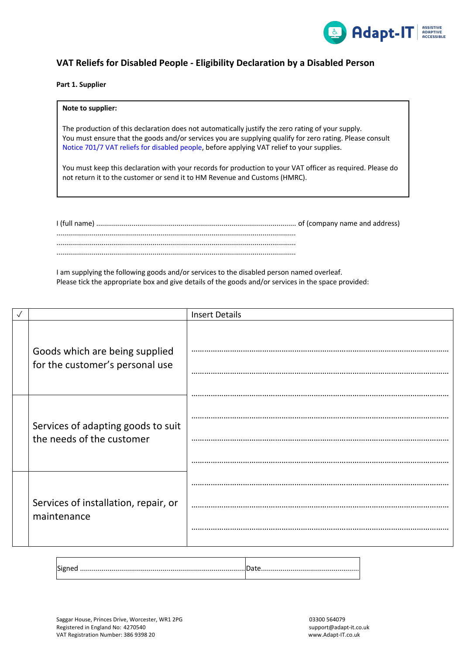

## **VAT Reliefs for Disabled People - Eligibility Declaration by a Disabled Person**

### **Part 1. Supplier**

**Note to supplier:**

# The production of this declaration does not automatically justify the zero rating of your supply. You must ensure that the goods and/or services you are supplying qualify for zero rating. Please consult Notice 701/7 VAT reliefs for disabled people, before applying VAT relief to your supplies.

You must keep this declaration with your records for production to your VAT officer as required. Please do not return it to the customer or send it to HM Revenue and Customs (HMRC).

I (full name) ...................................................................................................... of (company name and address) .......................................................................................................................... .......................................................................................................................... ..........................................................................................................................

I am supplying the following goods and/or services to the disabled person named overleaf. Please tick the appropriate box and give details of the goods and/or services in the space provided:

|  |                                                                   | <b>Insert Details</b> |  |  |  |
|--|-------------------------------------------------------------------|-----------------------|--|--|--|
|  | Goods which are being supplied<br>for the customer's personal use |                       |  |  |  |
|  | Services of adapting goods to suit<br>the needs of the customer   |                       |  |  |  |
|  | Services of installation, repair, or<br>maintenance               |                       |  |  |  |
|  |                                                                   |                       |  |  |  |